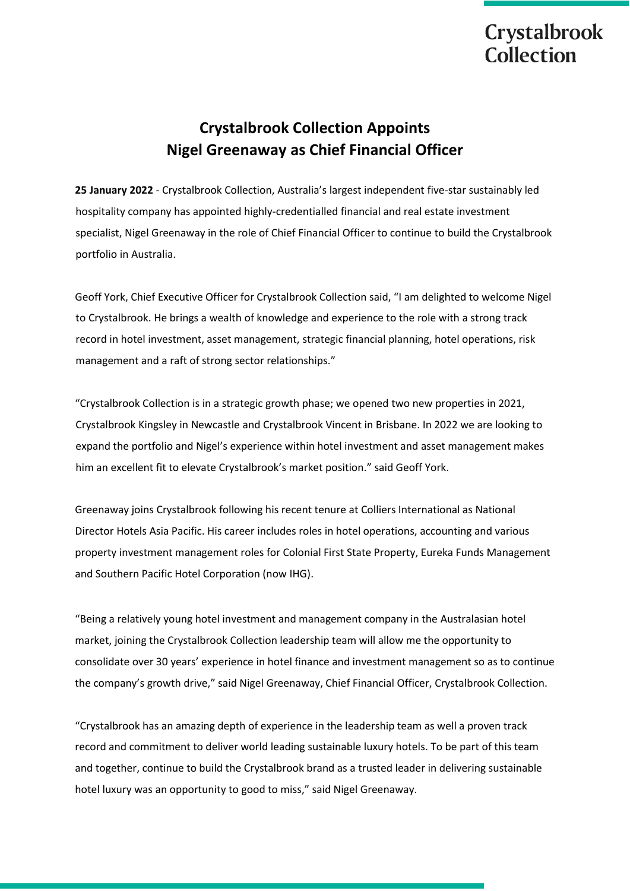# **Crystalbrook** Collection

# **Crystalbrook Collection Appoints Nigel Greenaway as Chief Financial Officer**

**25 January 2022** - Crystalbrook Collection, Australia's largest independent five-star sustainably led hospitality company has appointed highly-credentialled financial and real estate investment specialist, Nigel Greenaway in the role of Chief Financial Officer to continue to build the Crystalbrook portfolio in Australia.

Geoff York, Chief Executive Officer for Crystalbrook Collection said, "I am delighted to welcome Nigel to Crystalbrook. He brings a wealth of knowledge and experience to the role with a strong track record in hotel investment, asset management, strategic financial planning, hotel operations, risk management and a raft of strong sector relationships."

"Crystalbrook Collection is in a strategic growth phase; we opened two new properties in 2021, Crystalbrook Kingsley in Newcastle and Crystalbrook Vincent in Brisbane. In 2022 we are looking to expand the portfolio and Nigel's experience within hotel investment and asset management makes him an excellent fit to elevate Crystalbrook's market position." said Geoff York.

Greenaway joins Crystalbrook following his recent tenure at Colliers International as National Director Hotels Asia Pacific. His career includes roles in hotel operations, accounting and various property investment management roles for Colonial First State Property, Eureka Funds Management and Southern Pacific Hotel Corporation (now IHG).

"Being a relatively young hotel investment and management company in the Australasian hotel market, joining the Crystalbrook Collection leadership team will allow me the opportunity to consolidate over 30 years' experience in hotel finance and investment management so as to continue the company's growth drive," said Nigel Greenaway, Chief Financial Officer, Crystalbrook Collection.

"Crystalbrook has an amazing depth of experience in the leadership team as well a proven track record and commitment to deliver world leading sustainable luxury hotels. To be part of this team and together, continue to build the Crystalbrook brand as a trusted leader in delivering sustainable hotel luxury was an opportunity to good to miss," said Nigel Greenaway.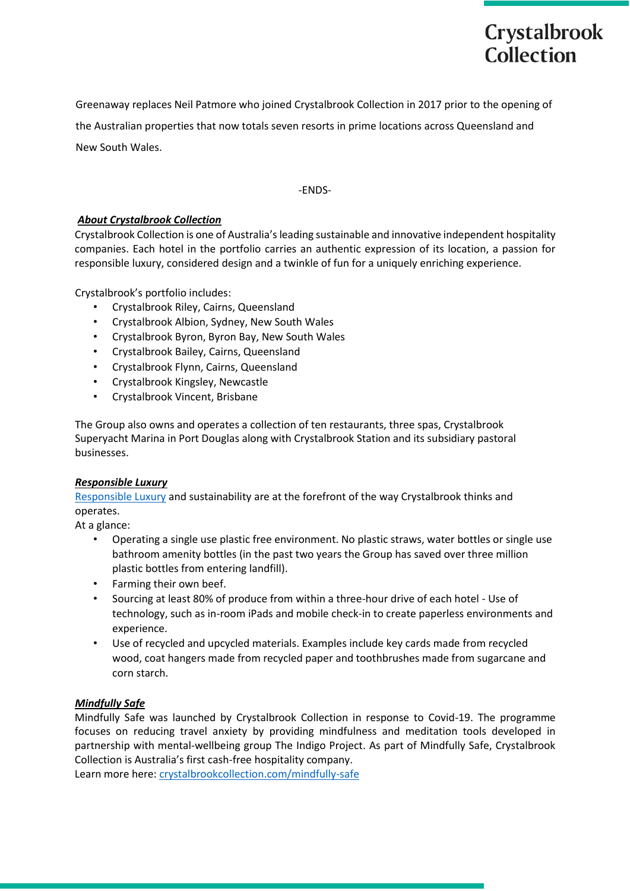Greenaway replaces Neil Patmore who joined Crystalbrook Collection in 2017 prior to the opening of the Australian properties that now totals seven resorts in prime locations across Queensland and New South Wales.

**Crystalbrook** 

Collection

-ENDS-

## *About Crystalbrook Collection*

Crystalbrook Collection is one of Australia's leading sustainable and innovative independent hospitality companies. Each hotel in the portfolio carries an authentic expression of its location, a passion for responsible luxury, considered design and a twinkle of fun for a uniquely enriching experience.

Crystalbrook's portfolio includes:

- Crystalbrook Riley, Cairns, Queensland
- Crystalbrook Albion, Sydney, New South Wales
- Crystalbrook Byron, Byron Bay, New South Wales
- Crystalbrook Bailey, Cairns, Queensland
- Crystalbrook Flynn, Cairns, Queensland
- Crystalbrook Kingsley, Newcastle
- Crystalbrook Vincent, Brisbane

The Group also owns and operates a collection of ten restaurants, three spas, Crystalbrook Superyacht Marina in Port Douglas along with Crystalbrook Station and its subsidiary pastoral businesses.

#### *Responsible Luxury*

Responsible Luxury and sustainability are at the forefront of the way Crystalbrook thinks and operates.

At a glance:

- Operating a single use plastic free environment. No plastic straws, water bottles or single use bathroom amenity bottles (in the past two years the Group has saved over three million plastic bottles from entering landfill).
- Farming their own beef.
- Sourcing at least 80% of produce from within a three-hour drive of each hotel Use of technology, such as in-room iPads and mobile check-in to create paperless environments and experience.
- Use of recycled and upcycled materials. Examples include key cards made from recycled wood, coat hangers made from recycled paper and toothbrushes made from sugarcane and corn starch.

#### *Mindfully Safe*

Mindfully Safe was launched by Crystalbrook Collection in response to Covid-19. The programme focuses on reducing travel anxiety by providing mindfulness and meditation tools developed in partnership with mental-wellbeing group The Indigo Project. As part of Mindfully Safe, Crystalbrook Collection is Australia's first cash-free hospitality company.

Learn more here: crystalbrookcollection.com/mindfully-safe